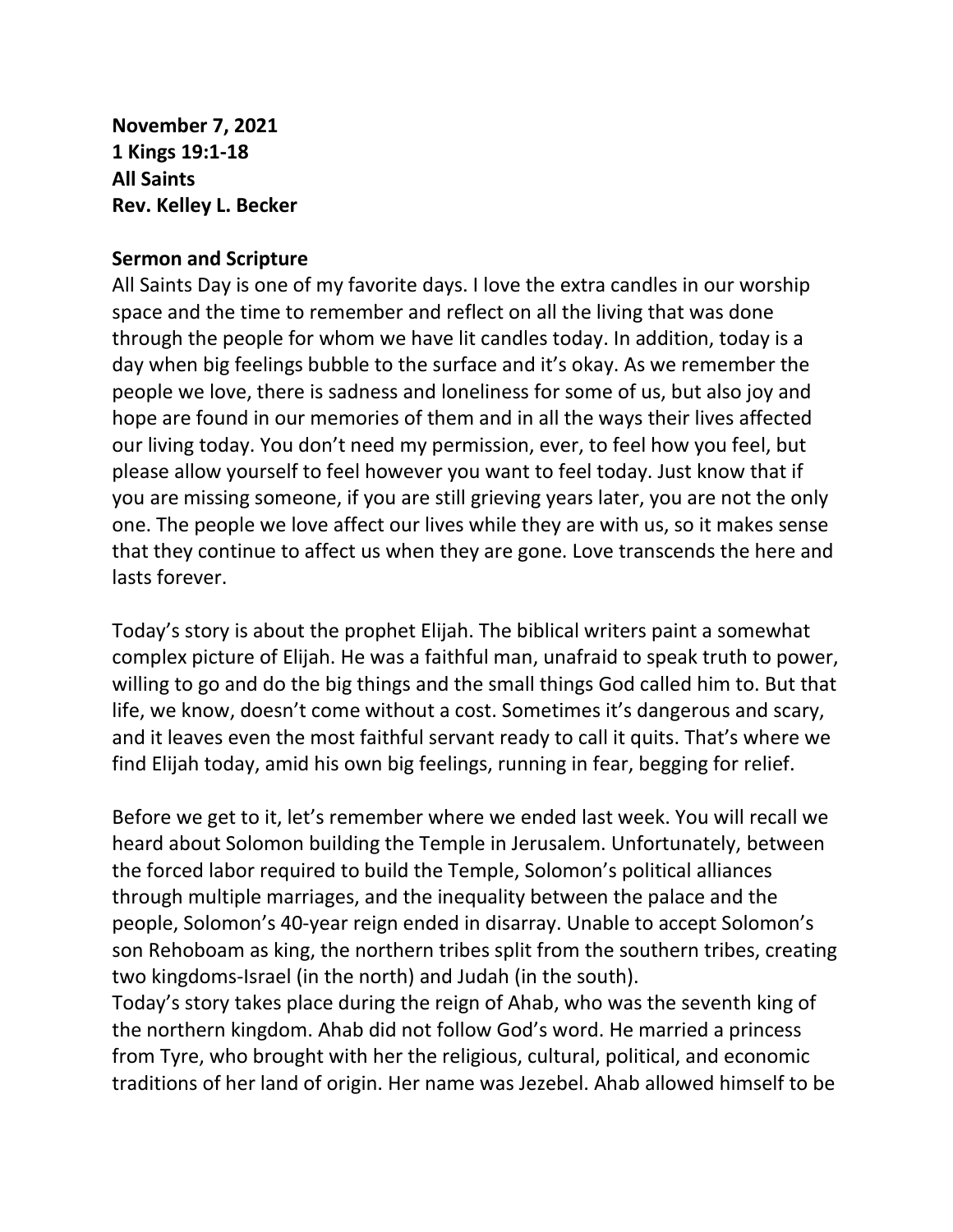**November 7, 2021 1 Kings 19:1-18 All Saints Rev. Kelley L. Becker**

## **Sermon and Scripture**

All Saints Day is one of my favorite days. I love the extra candles in our worship space and the time to remember and reflect on all the living that was done through the people for whom we have lit candles today. In addition, today is a day when big feelings bubble to the surface and it's okay. As we remember the people we love, there is sadness and loneliness for some of us, but also joy and hope are found in our memories of them and in all the ways their lives affected our living today. You don't need my permission, ever, to feel how you feel, but please allow yourself to feel however you want to feel today. Just know that if you are missing someone, if you are still grieving years later, you are not the only one. The people we love affect our lives while they are with us, so it makes sense that they continue to affect us when they are gone. Love transcends the here and lasts forever.

Today's story is about the prophet Elijah. The biblical writers paint a somewhat complex picture of Elijah. He was a faithful man, unafraid to speak truth to power, willing to go and do the big things and the small things God called him to. But that life, we know, doesn't come without a cost. Sometimes it's dangerous and scary, and it leaves even the most faithful servant ready to call it quits. That's where we find Elijah today, amid his own big feelings, running in fear, begging for relief.

Before we get to it, let's remember where we ended last week. You will recall we heard about Solomon building the Temple in Jerusalem. Unfortunately, between the forced labor required to build the Temple, Solomon's political alliances through multiple marriages, and the inequality between the palace and the people, Solomon's 40-year reign ended in disarray. Unable to accept Solomon's son Rehoboam as king, the northern tribes split from the southern tribes, creating two kingdoms-Israel (in the north) and Judah (in the south).

Today's story takes place during the reign of Ahab, who was the seventh king of the northern kingdom. Ahab did not follow God's word. He married a princess from Tyre, who brought with her the religious, cultural, political, and economic traditions of her land of origin. Her name was Jezebel. Ahab allowed himself to be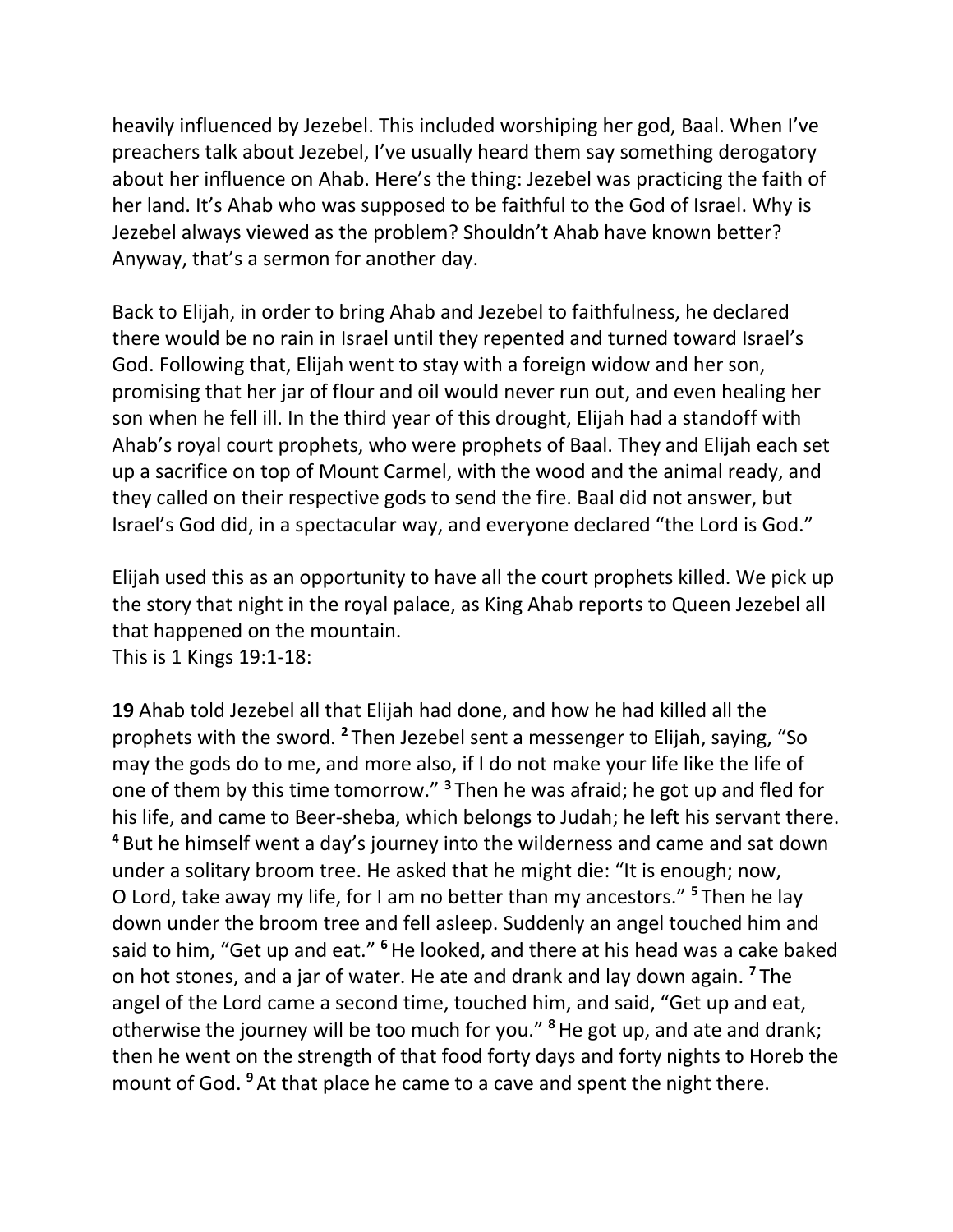heavily influenced by Jezebel. This included worshiping her god, Baal. When I've preachers talk about Jezebel, I've usually heard them say something derogatory about her influence on Ahab. Here's the thing: Jezebel was practicing the faith of her land. It's Ahab who was supposed to be faithful to the God of Israel. Why is Jezebel always viewed as the problem? Shouldn't Ahab have known better? Anyway, that's a sermon for another day.

Back to Elijah, in order to bring Ahab and Jezebel to faithfulness, he declared there would be no rain in Israel until they repented and turned toward Israel's God. Following that, Elijah went to stay with a foreign widow and her son, promising that her jar of flour and oil would never run out, and even healing her son when he fell ill. In the third year of this drought, Elijah had a standoff with Ahab's royal court prophets, who were prophets of Baal. They and Elijah each set up a sacrifice on top of Mount Carmel, with the wood and the animal ready, and they called on their respective gods to send the fire. Baal did not answer, but Israel's God did, in a spectacular way, and everyone declared "the Lord is God."

Elijah used this as an opportunity to have all the court prophets killed. We pick up the story that night in the royal palace, as King Ahab reports to Queen Jezebel all that happened on the mountain.

This is 1 Kings 19:1-18:

**19** Ahab told Jezebel all that Elijah had done, and how he had killed all the prophets with the sword. **<sup>2</sup>** Then Jezebel sent a messenger to Elijah, saying, "So may the gods do to me, and more also, if I do not make your life like the life of one of them by this time tomorrow." **<sup>3</sup>** Then he was afraid; he got up and fled for his life, and came to Beer-sheba, which belongs to Judah; he left his servant there. **<sup>4</sup>** But he himself went a day's journey into the wilderness and came and sat down under a solitary broom tree. He asked that he might die: "It is enough; now, O Lord, take away my life, for I am no better than my ancestors." **<sup>5</sup>** Then he lay down under the broom tree and fell asleep. Suddenly an angel touched him and said to him, "Get up and eat." **<sup>6</sup>**He looked, and there at his head was a cake baked on hot stones, and a jar of water. He ate and drank and lay down again. **<sup>7</sup>** The angel of the Lord came a second time, touched him, and said, "Get up and eat, otherwise the journey will be too much for you." **<sup>8</sup>**He got up, and ate and drank; then he went on the strength of that food forty days and forty nights to Horeb the mount of God. **<sup>9</sup>** At that place he came to a cave and spent the night there.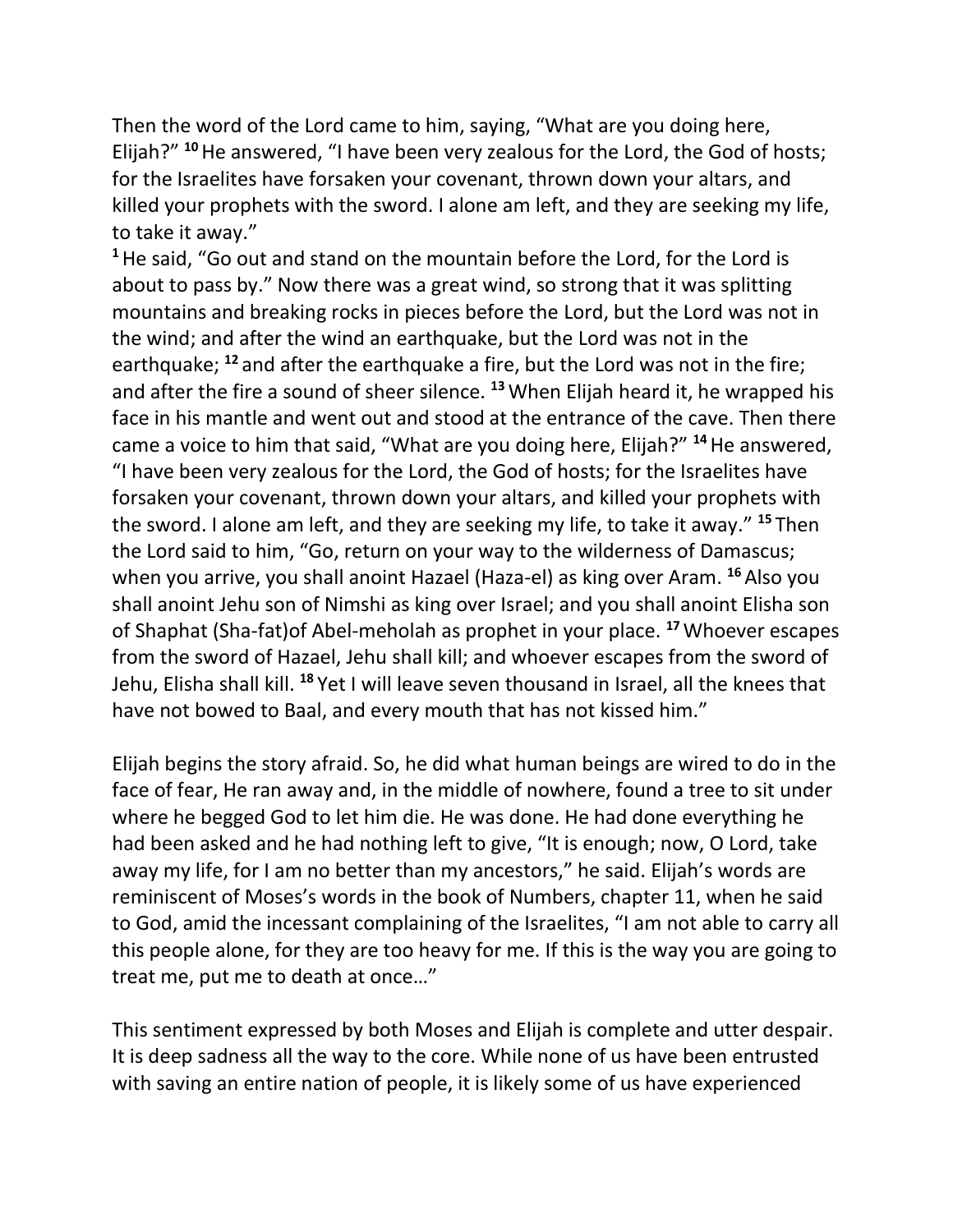Then the word of the Lord came to him, saying, "What are you doing here, Elijah?" **<sup>10</sup>**He answered, "I have been very zealous for the Lord, the God of hosts; for the Israelites have forsaken your covenant, thrown down your altars, and killed your prophets with the sword. I alone am left, and they are seeking my life, to take it away."

**<sup>1</sup>**He said, "Go out and stand on the mountain before the Lord, for the Lord is about to pass by." Now there was a great wind, so strong that it was splitting mountains and breaking rocks in pieces before the Lord, but the Lord was not in the wind; and after the wind an earthquake, but the Lord was not in the earthquake; **<sup>12</sup>** and after the earthquake a fire, but the Lord was not in the fire; and after the fire a sound of sheer silence. **<sup>13</sup>**When Elijah heard it, he wrapped his face in his mantle and went out and stood at the entrance of the cave. Then there came a voice to him that said, "What are you doing here, Elijah?" **<sup>14</sup>**He answered, "I have been very zealous for the Lord, the God of hosts; for the Israelites have forsaken your covenant, thrown down your altars, and killed your prophets with the sword. I alone am left, and they are seeking my life, to take it away." **<sup>15</sup>** Then the Lord said to him, "Go, return on your way to the wilderness of Damascus; when you arrive, you shall anoint Hazael (Haza-el) as king over Aram. **<sup>16</sup>** Also you shall anoint Jehu son of Nimshi as king over Israel; and you shall anoint Elisha son of Shaphat (Sha-fat)of Abel-meholah as prophet in your place. **<sup>17</sup>**Whoever escapes from the sword of Hazael, Jehu shall kill; and whoever escapes from the sword of Jehu, Elisha shall kill. **<sup>18</sup>** Yet I will leave seven thousand in Israel, all the knees that have not bowed to Baal, and every mouth that has not kissed him."

Elijah begins the story afraid. So, he did what human beings are wired to do in the face of fear, He ran away and, in the middle of nowhere, found a tree to sit under where he begged God to let him die. He was done. He had done everything he had been asked and he had nothing left to give, "It is enough; now, O Lord, take away my life, for I am no better than my ancestors," he said. Elijah's words are reminiscent of Moses's words in the book of Numbers, chapter 11, when he said to God, amid the incessant complaining of the Israelites, "I am not able to carry all this people alone, for they are too heavy for me. If this is the way you are going to treat me, put me to death at once…"

This sentiment expressed by both Moses and Elijah is complete and utter despair. It is deep sadness all the way to the core. While none of us have been entrusted with saving an entire nation of people, it is likely some of us have experienced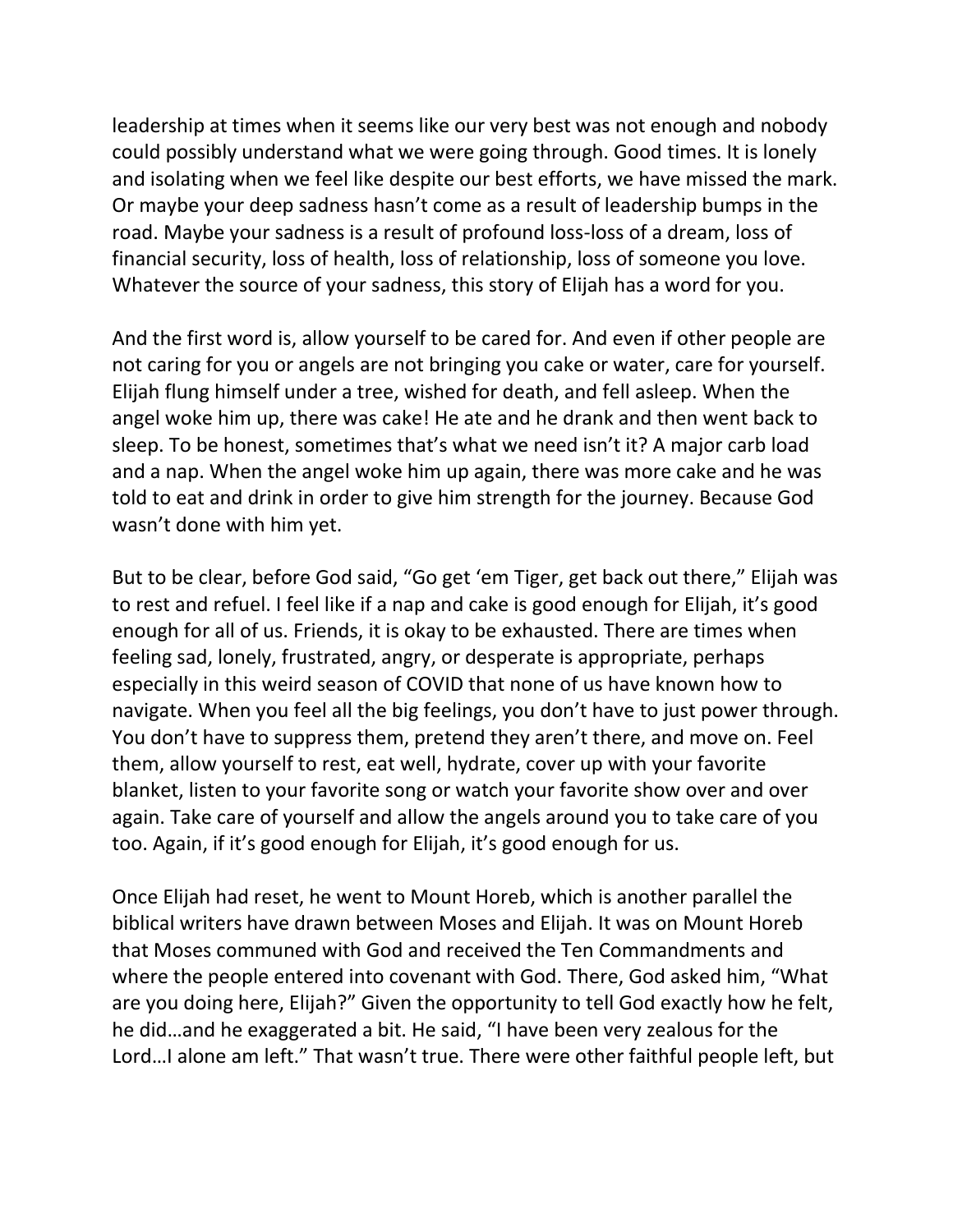leadership at times when it seems like our very best was not enough and nobody could possibly understand what we were going through. Good times. It is lonely and isolating when we feel like despite our best efforts, we have missed the mark. Or maybe your deep sadness hasn't come as a result of leadership bumps in the road. Maybe your sadness is a result of profound loss-loss of a dream, loss of financial security, loss of health, loss of relationship, loss of someone you love. Whatever the source of your sadness, this story of Elijah has a word for you.

And the first word is, allow yourself to be cared for. And even if other people are not caring for you or angels are not bringing you cake or water, care for yourself. Elijah flung himself under a tree, wished for death, and fell asleep. When the angel woke him up, there was cake! He ate and he drank and then went back to sleep. To be honest, sometimes that's what we need isn't it? A major carb load and a nap. When the angel woke him up again, there was more cake and he was told to eat and drink in order to give him strength for the journey. Because God wasn't done with him yet.

But to be clear, before God said, "Go get 'em Tiger, get back out there," Elijah was to rest and refuel. I feel like if a nap and cake is good enough for Elijah, it's good enough for all of us. Friends, it is okay to be exhausted. There are times when feeling sad, lonely, frustrated, angry, or desperate is appropriate, perhaps especially in this weird season of COVID that none of us have known how to navigate. When you feel all the big feelings, you don't have to just power through. You don't have to suppress them, pretend they aren't there, and move on. Feel them, allow yourself to rest, eat well, hydrate, cover up with your favorite blanket, listen to your favorite song or watch your favorite show over and over again. Take care of yourself and allow the angels around you to take care of you too. Again, if it's good enough for Elijah, it's good enough for us.

Once Elijah had reset, he went to Mount Horeb, which is another parallel the biblical writers have drawn between Moses and Elijah. It was on Mount Horeb that Moses communed with God and received the Ten Commandments and where the people entered into covenant with God. There, God asked him, "What are you doing here, Elijah?" Given the opportunity to tell God exactly how he felt, he did…and he exaggerated a bit. He said, "I have been very zealous for the Lord…I alone am left." That wasn't true. There were other faithful people left, but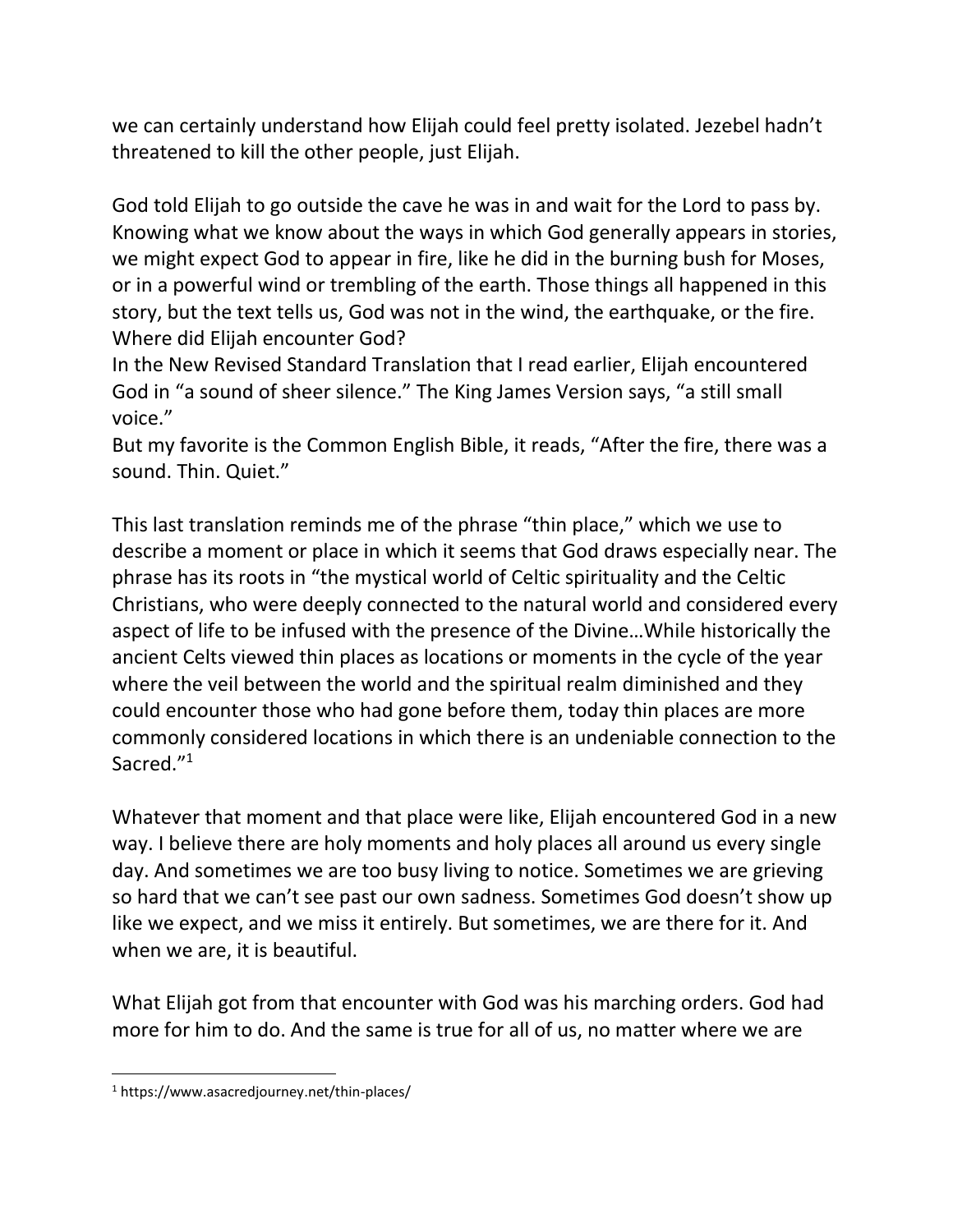we can certainly understand how Elijah could feel pretty isolated. Jezebel hadn't threatened to kill the other people, just Elijah.

God told Elijah to go outside the cave he was in and wait for the Lord to pass by. Knowing what we know about the ways in which God generally appears in stories, we might expect God to appear in fire, like he did in the burning bush for Moses, or in a powerful wind or trembling of the earth. Those things all happened in this story, but the text tells us, God was not in the wind, the earthquake, or the fire. Where did Elijah encounter God?

In the New Revised Standard Translation that I read earlier, Elijah encountered God in "a sound of sheer silence." The King James Version says, "a still small voice."

But my favorite is the Common English Bible, it reads, "After the fire, there was a sound. Thin. Quiet."

This last translation reminds me of the phrase "thin place," which we use to describe a moment or place in which it seems that God draws especially near. The phrase has its roots in "the mystical world of Celtic spirituality and the Celtic Christians, who were deeply connected to the natural world and considered every aspect of life to be infused with the presence of the Divine…While historically the ancient Celts viewed thin places as locations or moments in the cycle of the year where the veil between the world and the spiritual realm diminished and they could encounter those who had gone before them, today thin places are more commonly considered locations in which there is an undeniable connection to the Sacred."<sup>1</sup>

Whatever that moment and that place were like, Elijah encountered God in a new way. I believe there are holy moments and holy places all around us every single day. And sometimes we are too busy living to notice. Sometimes we are grieving so hard that we can't see past our own sadness. Sometimes God doesn't show up like we expect, and we miss it entirely. But sometimes, we are there for it. And when we are, it is beautiful.

What Elijah got from that encounter with God was his marching orders. God had more for him to do. And the same is true for all of us, no matter where we are

<sup>1</sup> https://www.asacredjourney.net/thin-places/